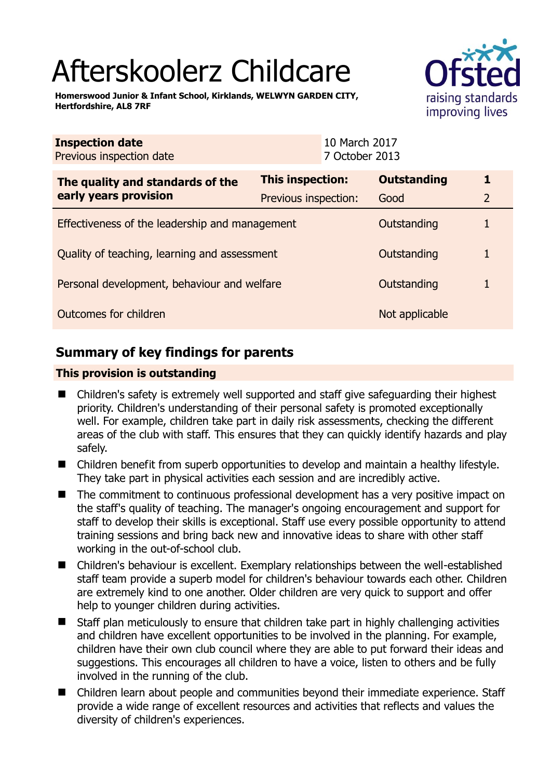# Afterskoolerz Childcare

**Homerswood Junior & Infant School, Kirklands, WELWYN GARDEN CITY, Hertfordshire, AL8 7RF** 



| <b>Inspection date</b><br>Previous inspection date        | 10 March 2017<br>7 October 2013 |                    |   |
|-----------------------------------------------------------|---------------------------------|--------------------|---|
| The quality and standards of the<br>early years provision | <b>This inspection:</b>         | <b>Outstanding</b> | 1 |
|                                                           | Previous inspection:            | Good               | 2 |
| Effectiveness of the leadership and management            |                                 | Outstanding        |   |
| Quality of teaching, learning and assessment              |                                 | Outstanding        |   |
| Personal development, behaviour and welfare               |                                 | Outstanding        |   |
| Outcomes for children                                     |                                 | Not applicable     |   |

# **Summary of key findings for parents**

## **This provision is outstanding**

- Children's safety is extremely well supported and staff give safeguarding their highest priority. Children's understanding of their personal safety is promoted exceptionally well. For example, children take part in daily risk assessments, checking the different areas of the club with staff. This ensures that they can quickly identify hazards and play safely.
- Children benefit from superb opportunities to develop and maintain a healthy lifestyle. They take part in physical activities each session and are incredibly active.
- The commitment to continuous professional development has a very positive impact on the staff's quality of teaching. The manager's ongoing encouragement and support for staff to develop their skills is exceptional. Staff use every possible opportunity to attend training sessions and bring back new and innovative ideas to share with other staff working in the out-of-school club.
- Children's behaviour is excellent. Exemplary relationships between the well-established staff team provide a superb model for children's behaviour towards each other. Children are extremely kind to one another. Older children are very quick to support and offer help to younger children during activities.
- Staff plan meticulously to ensure that children take part in highly challenging activities and children have excellent opportunities to be involved in the planning. For example, children have their own club council where they are able to put forward their ideas and suggestions. This encourages all children to have a voice, listen to others and be fully involved in the running of the club.
- Children learn about people and communities beyond their immediate experience. Staff provide a wide range of excellent resources and activities that reflects and values the diversity of children's experiences.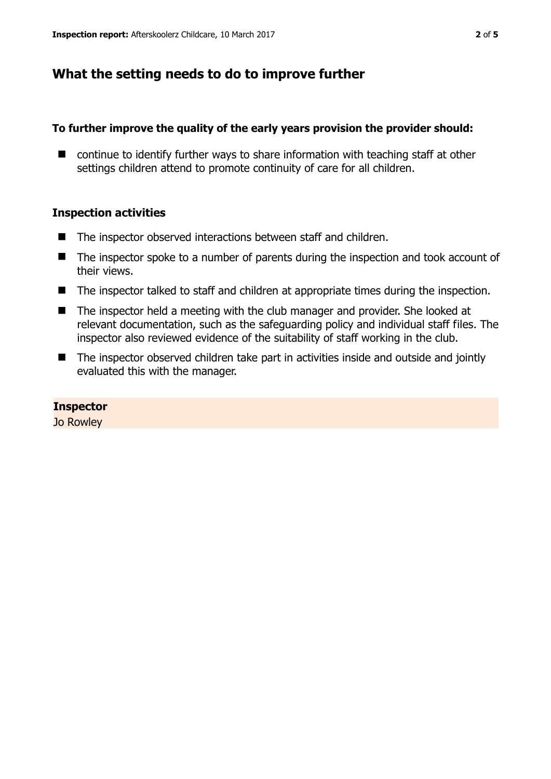# **What the setting needs to do to improve further**

## **To further improve the quality of the early years provision the provider should:**

■ continue to identify further ways to share information with teaching staff at other settings children attend to promote continuity of care for all children.

## **Inspection activities**

- The inspector observed interactions between staff and children.
- The inspector spoke to a number of parents during the inspection and took account of their views.
- The inspector talked to staff and children at appropriate times during the inspection.
- The inspector held a meeting with the club manager and provider. She looked at relevant documentation, such as the safeguarding policy and individual staff files. The inspector also reviewed evidence of the suitability of staff working in the club.
- The inspector observed children take part in activities inside and outside and jointly evaluated this with the manager.

#### **Inspector**

Jo Rowley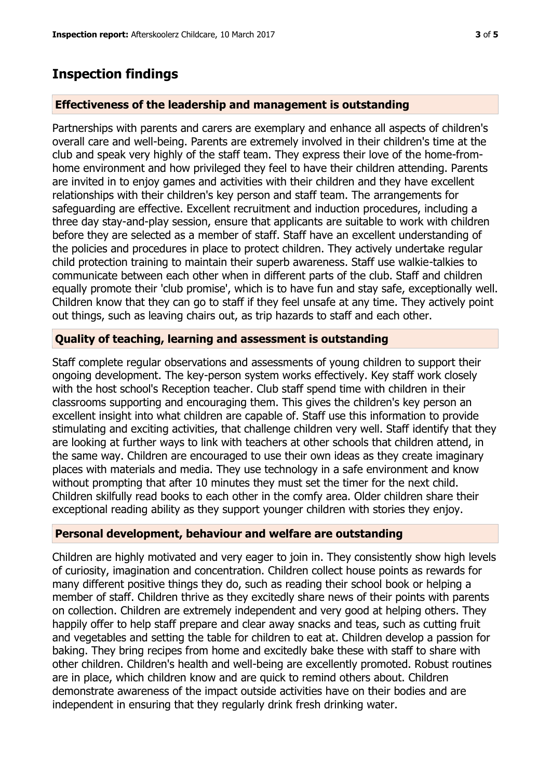## **Inspection findings**

#### **Effectiveness of the leadership and management is outstanding**

Partnerships with parents and carers are exemplary and enhance all aspects of children's overall care and well-being. Parents are extremely involved in their children's time at the club and speak very highly of the staff team. They express their love of the home-fromhome environment and how privileged they feel to have their children attending. Parents are invited in to enjoy games and activities with their children and they have excellent relationships with their children's key person and staff team. The arrangements for safeguarding are effective. Excellent recruitment and induction procedures, including a three day stay-and-play session, ensure that applicants are suitable to work with children before they are selected as a member of staff. Staff have an excellent understanding of the policies and procedures in place to protect children. They actively undertake regular child protection training to maintain their superb awareness. Staff use walkie-talkies to communicate between each other when in different parts of the club. Staff and children equally promote their 'club promise', which is to have fun and stay safe, exceptionally well. Children know that they can go to staff if they feel unsafe at any time. They actively point out things, such as leaving chairs out, as trip hazards to staff and each other.

#### **Quality of teaching, learning and assessment is outstanding**

Staff complete regular observations and assessments of young children to support their ongoing development. The key-person system works effectively. Key staff work closely with the host school's Reception teacher. Club staff spend time with children in their classrooms supporting and encouraging them. This gives the children's key person an excellent insight into what children are capable of. Staff use this information to provide stimulating and exciting activities, that challenge children very well. Staff identify that they are looking at further ways to link with teachers at other schools that children attend, in the same way. Children are encouraged to use their own ideas as they create imaginary places with materials and media. They use technology in a safe environment and know without prompting that after 10 minutes they must set the timer for the next child. Children skilfully read books to each other in the comfy area. Older children share their exceptional reading ability as they support younger children with stories they enjoy.

#### **Personal development, behaviour and welfare are outstanding**

Children are highly motivated and very eager to join in. They consistently show high levels of curiosity, imagination and concentration. Children collect house points as rewards for many different positive things they do, such as reading their school book or helping a member of staff. Children thrive as they excitedly share news of their points with parents on collection. Children are extremely independent and very good at helping others. They happily offer to help staff prepare and clear away snacks and teas, such as cutting fruit and vegetables and setting the table for children to eat at. Children develop a passion for baking. They bring recipes from home and excitedly bake these with staff to share with other children. Children's health and well-being are excellently promoted. Robust routines are in place, which children know and are quick to remind others about. Children demonstrate awareness of the impact outside activities have on their bodies and are independent in ensuring that they regularly drink fresh drinking water.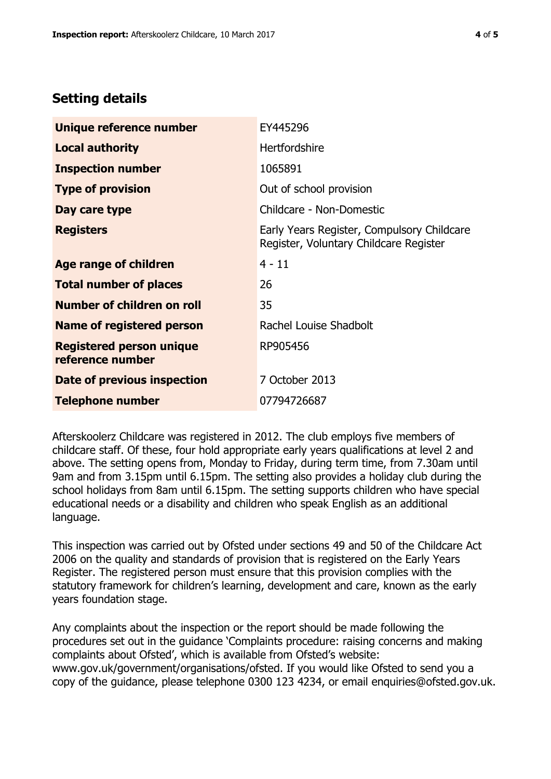# **Setting details**

| Unique reference number                             | EY445296                                                                             |  |
|-----------------------------------------------------|--------------------------------------------------------------------------------------|--|
| <b>Local authority</b>                              | <b>Hertfordshire</b>                                                                 |  |
| <b>Inspection number</b>                            | 1065891                                                                              |  |
| <b>Type of provision</b>                            | Out of school provision                                                              |  |
| Day care type                                       | Childcare - Non-Domestic                                                             |  |
| <b>Registers</b>                                    | Early Years Register, Compulsory Childcare<br>Register, Voluntary Childcare Register |  |
| Age range of children                               | $4 - 11$                                                                             |  |
| <b>Total number of places</b>                       | 26                                                                                   |  |
| Number of children on roll                          | 35                                                                                   |  |
| Name of registered person                           | Rachel Louise Shadbolt                                                               |  |
| <b>Registered person unique</b><br>reference number | RP905456                                                                             |  |
| <b>Date of previous inspection</b>                  | 7 October 2013                                                                       |  |
| <b>Telephone number</b>                             | 07794726687                                                                          |  |

Afterskoolerz Childcare was registered in 2012. The club employs five members of childcare staff. Of these, four hold appropriate early years qualifications at level 2 and above. The setting opens from, Monday to Friday, during term time, from 7.30am until 9am and from 3.15pm until 6.15pm. The setting also provides a holiday club during the school holidays from 8am until 6.15pm. The setting supports children who have special educational needs or a disability and children who speak English as an additional language.

This inspection was carried out by Ofsted under sections 49 and 50 of the Childcare Act 2006 on the quality and standards of provision that is registered on the Early Years Register. The registered person must ensure that this provision complies with the statutory framework for children's learning, development and care, known as the early years foundation stage.

Any complaints about the inspection or the report should be made following the procedures set out in the guidance 'Complaints procedure: raising concerns and making complaints about Ofsted', which is available from Ofsted's website: www.gov.uk/government/organisations/ofsted. If you would like Ofsted to send you a copy of the guidance, please telephone 0300 123 4234, or email enquiries@ofsted.gov.uk.